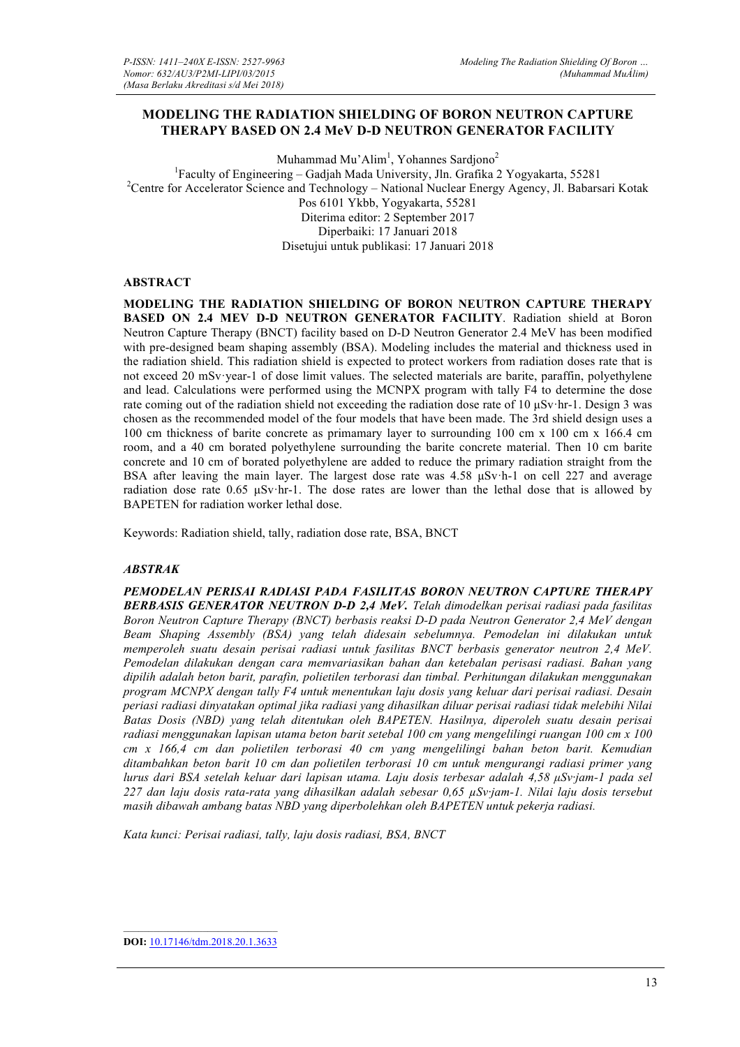## **MODELING THE RADIATION SHIELDING OF BORON NEUTRON CAPTURE THERAPY BASED ON 2.4 MeV D-D NEUTRON GENERATOR FACILITY**

Muhammad Mu'Alim<sup>1</sup>, Yohannes Sardjono<sup>2</sup> <sup>1</sup>Faculty of Engineering – Gadjah Mada University, Jln. Grafika 2 Yogyakarta, 55281<br><sup>2</sup>Centre for Accelerator Sejange and Technology. National Nuclear Energy Access II, Behard <sup>2</sup> Centre for Accelerator Science and Technology – National Nuclear Energy Agency, Jl. Babarsari Kotak Pos 6101 Ykbb, Yogyakarta, 55281 Diterima editor: 2 September 2017 Diperbaiki: 17 Januari 2018 Disetujui untuk publikasi: 17 Januari 2018

#### **ABSTRACT**

**MODELING THE RADIATION SHIELDING OF BORON NEUTRON CAPTURE THERAPY BASED ON 2.4 MEV D-D NEUTRON GENERATOR FACILITY**. Radiation shield at Boron Neutron Capture Therapy (BNCT) facility based on D-D Neutron Generator 2.4 MeV has been modified with pre-designed beam shaping assembly (BSA). Modeling includes the material and thickness used in the radiation shield. This radiation shield is expected to protect workers from radiation doses rate that is not exceed 20 mSv·year-1 of dose limit values. The selected materials are barite, paraffin, polyethylene and lead. Calculations were performed using the MCNPX program with tally F4 to determine the dose rate coming out of the radiation shield not exceeding the radiation dose rate of 10 µSv·hr-1. Design 3 was chosen as the recommended model of the four models that have been made. The 3rd shield design uses a 100 cm thickness of barite concrete as primamary layer to surrounding 100 cm x 100 cm x 166.4 cm room, and a 40 cm borated polyethylene surrounding the barite concrete material. Then 10 cm barite concrete and 10 cm of borated polyethylene are added to reduce the primary radiation straight from the BSA after leaving the main layer. The largest dose rate was 4.58 µSv·h-1 on cell 227 and average radiation dose rate  $0.65 \mu Sv\cdot hr-1$ . The dose rates are lower than the lethal dose that is allowed by BAPETEN for radiation worker lethal dose.

Keywords: Radiation shield, tally, radiation dose rate, BSA, BNCT

#### *ABSTRAK*

*PEMODELAN PERISAI RADIASI PADA FASILITAS BORON NEUTRON CAPTURE THERAPY BERBASIS GENERATOR NEUTRON D-D 2,4 MeV. Telah dimodelkan perisai radiasi pada fasilitas Boron Neutron Capture Therapy (BNCT) berbasis reaksi D-D pada Neutron Generator 2,4 MeV dengan Beam Shaping Assembly (BSA) yang telah didesain sebelumnya. Pemodelan ini dilakukan untuk memperoleh suatu desain perisai radiasi untuk fasilitas BNCT berbasis generator neutron 2,4 MeV. Pemodelan dilakukan dengan cara memvariasikan bahan dan ketebalan perisasi radiasi. Bahan yang dipilih adalah beton barit, parafin, polietilen terborasi dan timbal. Perhitungan dilakukan menggunakan program MCNPX dengan tally F4 untuk menentukan laju dosis yang keluar dari perisai radiasi. Desain periasi radiasi dinyatakan optimal jika radiasi yang dihasilkan diluar perisai radiasi tidak melebihi Nilai Batas Dosis (NBD) yang telah ditentukan oleh BAPETEN. Hasilnya, diperoleh suatu desain perisai radiasi menggunakan lapisan utama beton barit setebal 100 cm yang mengelilingi ruangan 100 cm x 100 cm x 166,4 cm dan polietilen terborasi 40 cm yang mengelilingi bahan beton barit. Kemudian ditambahkan beton barit 10 cm dan polietilen terborasi 10 cm untuk mengurangi radiasi primer yang lurus dari BSA setelah keluar dari lapisan utama. Laju dosis terbesar adalah 4,58 µSv·jam-1 pada sel 227 dan laju dosis rata-rata yang dihasilkan adalah sebesar 0,65 µSv·jam-1. Nilai laju dosis tersebut masih dibawah ambang batas NBD yang diperbolehkan oleh BAPETEN untuk pekerja radiasi.*

*Kata kunci: Perisai radiasi, tally, laju dosis radiasi, BSA, BNCT*

**DOI:** 10.17146/tdm.2018.20.1.3633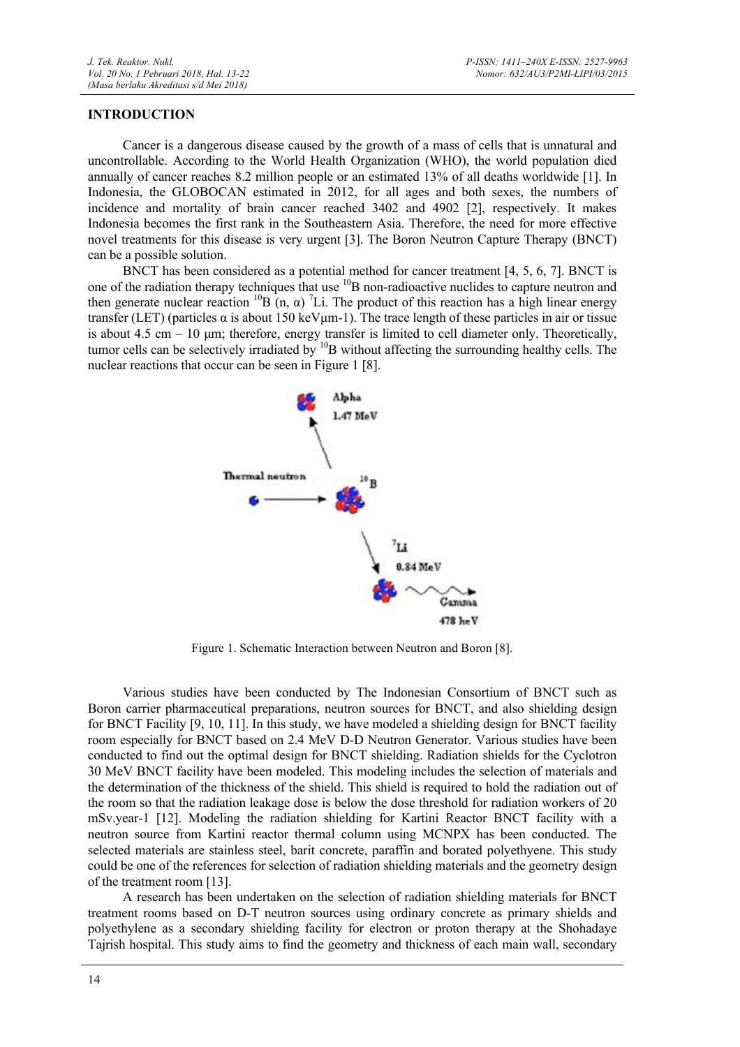### **INTRODUCTION**

Cancer is a dangerous disease caused by the growth of a mass of cells that is unnatural and uncontrollable. According to the World Health Organization (WHO), the world population died annually of cancer reaches 8.2 million people or an estimated 13% of all deaths worldwide [1]. In Indonesia, the GLOBOCAN estimated in 2012, for all ages and both sexes, the numbers of incidence and mortality of brain cancer reached 3402 and 4902 [2], respectively. It makes Indonesia becomes the first rank in the Southeastern Asia. Therefore, the need for more effective novel treatments for this disease is very urgent [3]. The Boron Neutron Capture Therapy (BNCT) can be a possible solution.

BNCT has been considered as a potential method for cancer treatment [4, 5, 6, 7]. BNCT is one of the radiation therapy techniques that use  ${}^{10}B$  non-radioactive nuclides to capture neutron and then generate nuclear reaction <sup>10</sup>B (n,  $\alpha$ ) <sup>7</sup>Li. The product of this reaction has a high linear energy transfer (LET) (particles α is about 150 keVµm-1). The trace length of these particles in air or tissue is about  $4.5 \text{ cm} - 10 \text{ µm}$ ; therefore, energy transfer is limited to cell diameter only. Theoretically, tumor cells can be selectively irradiated by <sup>10</sup>B without affecting the surrounding healthy cells. The nuclear reactions that occur can be seen in Figure 1 [8].



Figure 1. Schematic Interaction between Neutron and Boron [8].

Various studies have been conducted by The Indonesian Consortium of BNCT such as Boron carrier pharmaceutical preparations, neutron sources for BNCT, and also shielding design for BNCT Facility [9, 10, 11]. In this study, we have modeled a shielding design for BNCT facility room especially for BNCT based on 2.4 MeV D-D Neutron Generator. Various studies have been conducted to find out the optimal design for BNCT shielding. Radiation shields for the Cyclotron 30 MeV BNCT facility have been modeled. This modeling includes the selection of materials and the determination of the thickness of the shield. This shield is required to hold the radiation out of the room so that the radiation leakage dose is below the dose threshold for radiation workers of 20 mSv.year-1 [12]. Modeling the radiation shielding for Kartini Reactor BNCT facility with a neutron source from Kartini reactor thermal column using MCNPX has been conducted. The selected materials are stainless steel, barit concrete, paraffin and borated polyethyene. This study could be one of the references for selection of radiation shielding materials and the geometry design of the treatment room [13].

A research has been undertaken on the selection of radiation shielding materials for BNCT treatment rooms based on D-T neutron sources using ordinary concrete as primary shields and polyethylene as a secondary shielding facility for electron or proton therapy at the Shohadaye Tajrish hospital. This study aims to find the geometry and thickness of each main wall, secondary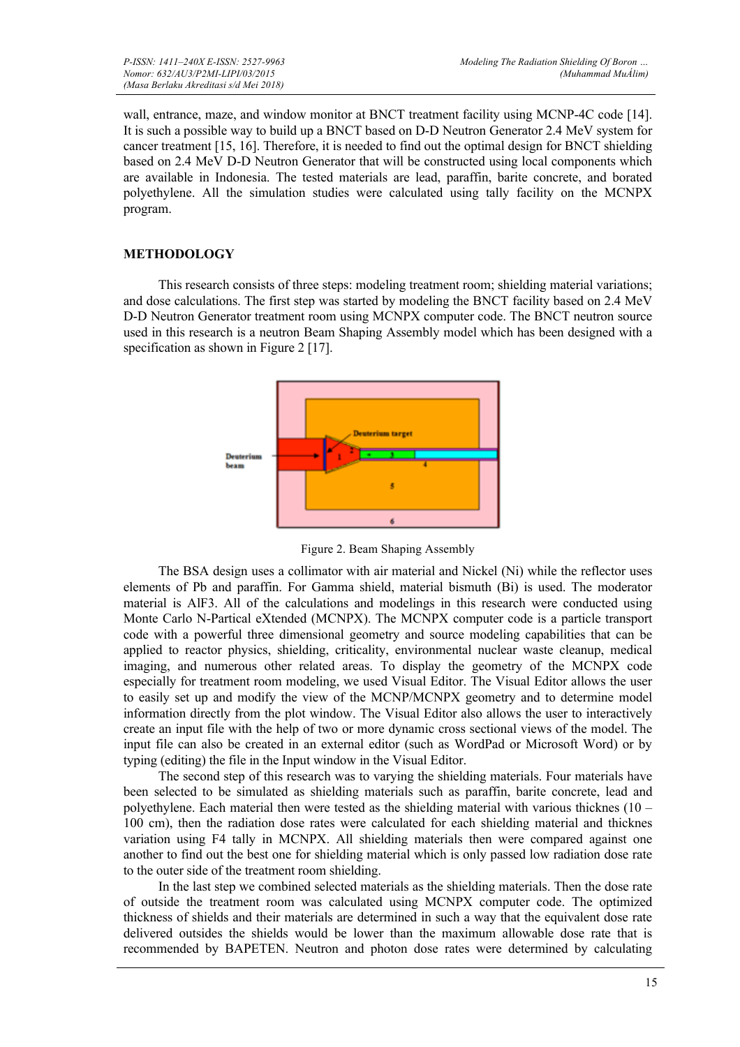wall, entrance, maze, and window monitor at BNCT treatment facility using MCNP-4C code [14]. It is such a possible way to build up a BNCT based on D-D Neutron Generator 2.4 MeV system for cancer treatment [15, 16]. Therefore, it is needed to find out the optimal design for BNCT shielding based on 2.4 MeV D-D Neutron Generator that will be constructed using local components which are available in Indonesia. The tested materials are lead, paraffin, barite concrete, and borated polyethylene. All the simulation studies were calculated using tally facility on the MCNPX program.

## **METHODOLOGY**

This research consists of three steps: modeling treatment room; shielding material variations; and dose calculations. The first step was started by modeling the BNCT facility based on 2.4 MeV D-D Neutron Generator treatment room using MCNPX computer code. The BNCT neutron source used in this research is a neutron Beam Shaping Assembly model which has been designed with a specification as shown in Figure 2 [17].



Figure 2. Beam Shaping Assembly

The BSA design uses a collimator with air material and Nickel (Ni) while the reflector uses elements of Pb and paraffin. For Gamma shield, material bismuth (Bi) is used. The moderator material is AlF3. All of the calculations and modelings in this research were conducted using Monte Carlo N-Partical eXtended (MCNPX). The MCNPX computer code is a particle transport code with a powerful three dimensional geometry and source modeling capabilities that can be applied to reactor physics, shielding, criticality, environmental nuclear waste cleanup, medical imaging, and numerous other related areas. To display the geometry of the MCNPX code especially for treatment room modeling, we used Visual Editor. The Visual Editor allows the user to easily set up and modify the view of the MCNP/MCNPX geometry and to determine model information directly from the plot window. The Visual Editor also allows the user to interactively create an input file with the help of two or more dynamic cross sectional views of the model. The input file can also be created in an external editor (such as WordPad or Microsoft Word) or by typing (editing) the file in the Input window in the Visual Editor.

The second step of this research was to varying the shielding materials. Four materials have been selected to be simulated as shielding materials such as paraffin, barite concrete, lead and polyethylene. Each material then were tested as the shielding material with various thicknes (10 – 100 cm), then the radiation dose rates were calculated for each shielding material and thicknes variation using F4 tally in MCNPX. All shielding materials then were compared against one another to find out the best one for shielding material which is only passed low radiation dose rate to the outer side of the treatment room shielding.

In the last step we combined selected materials as the shielding materials. Then the dose rate of outside the treatment room was calculated using MCNPX computer code. The optimized thickness of shields and their materials are determined in such a way that the equivalent dose rate delivered outsides the shields would be lower than the maximum allowable dose rate that is recommended by BAPETEN. Neutron and photon dose rates were determined by calculating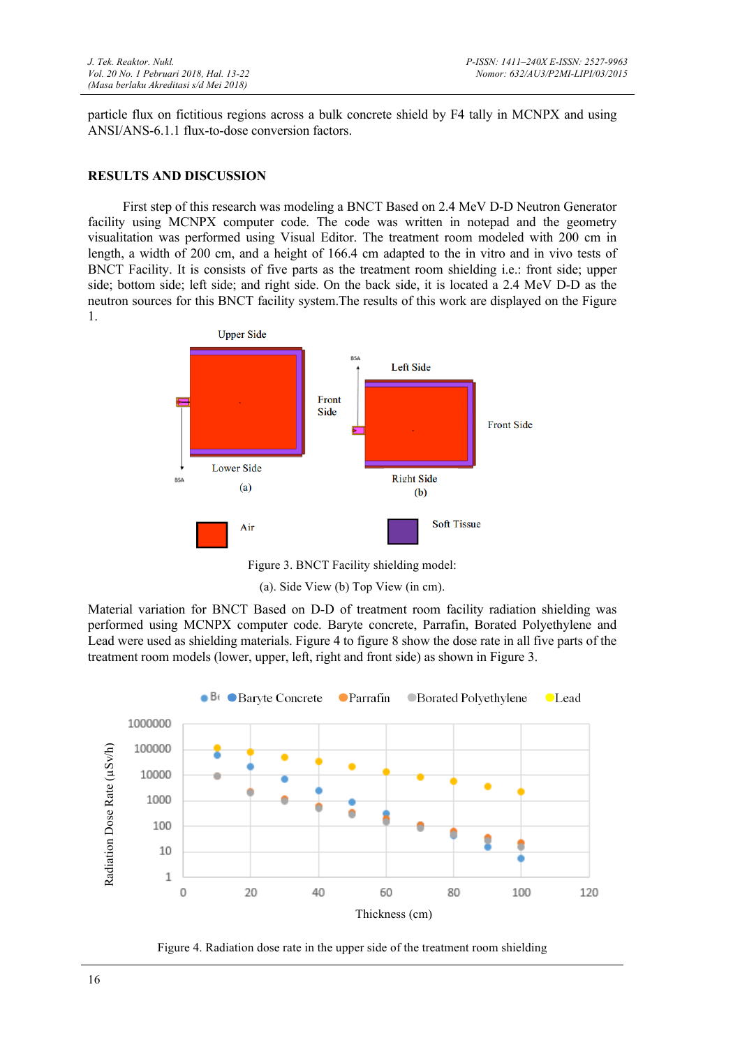particle flux on fictitious regions across a bulk concrete shield by F4 tally in MCNPX and using ANSI/ANS-6.1.1 flux-to-dose conversion factors.

### **RESULTS AND DISCUSSION**

First step of this research was modeling a BNCT Based on 2.4 MeV D-D Neutron Generator facility using MCNPX computer code. The code was written in notepad and the geometry visualitation was performed using Visual Editor. The treatment room modeled with 200 cm in length, a width of 200 cm, and a height of 166.4 cm adapted to the in vitro and in vivo tests of BNCT Facility. It is consists of five parts as the treatment room shielding i.e.: front side; upper side; bottom side; left side; and right side. On the back side, it is located a 2.4 MeV D-D as the neutron sources for this BNCT facility system.The results of this work are displayed on the Figure 1.



Figure 3. BNCT Facility shielding model:

(a). Side View (b) Top View (in cm).

Material variation for BNCT Based on D-D of treatment room facility radiation shielding was performed using MCNPX computer code. Baryte concrete, Parrafin, Borated Polyethylene and Lead were used as shielding materials. Figure 4 to figure 8 show the dose rate in all five parts of the treatment room models (lower, upper, left, right and front side) as shown in Figure 3.



Figure 4. Radiation dose rate in the upper side of the treatment room shielding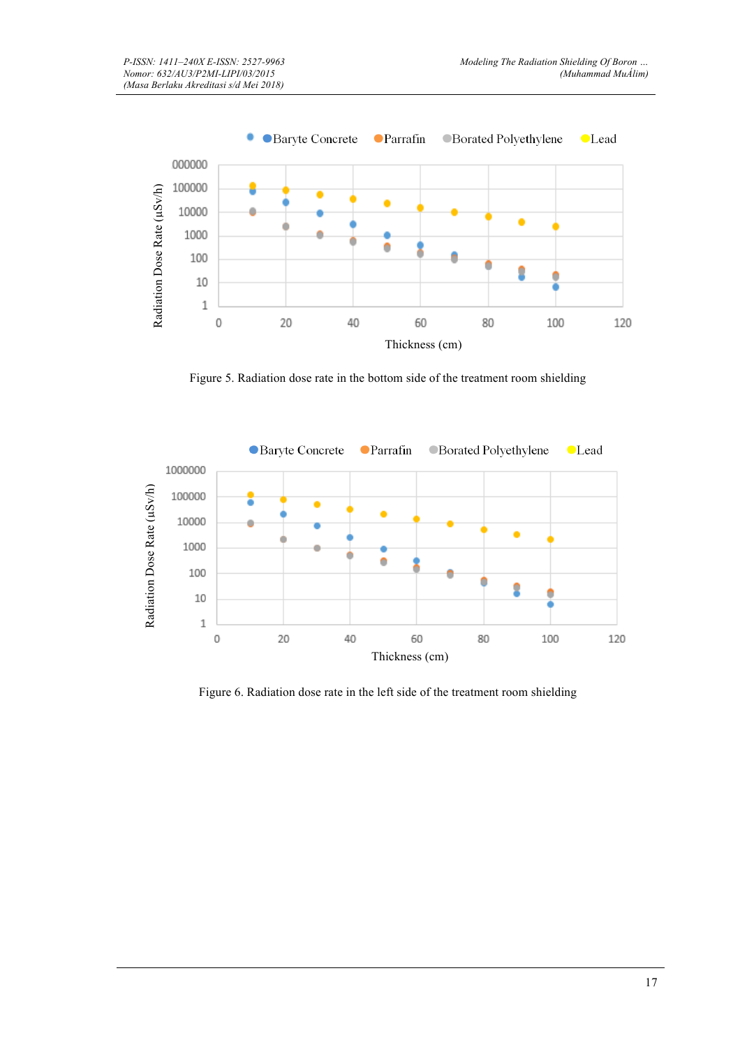

Figure 5. Radiation dose rate in the bottom side of the treatment room shielding



Figure 6. Radiation dose rate in the left side of the treatment room shielding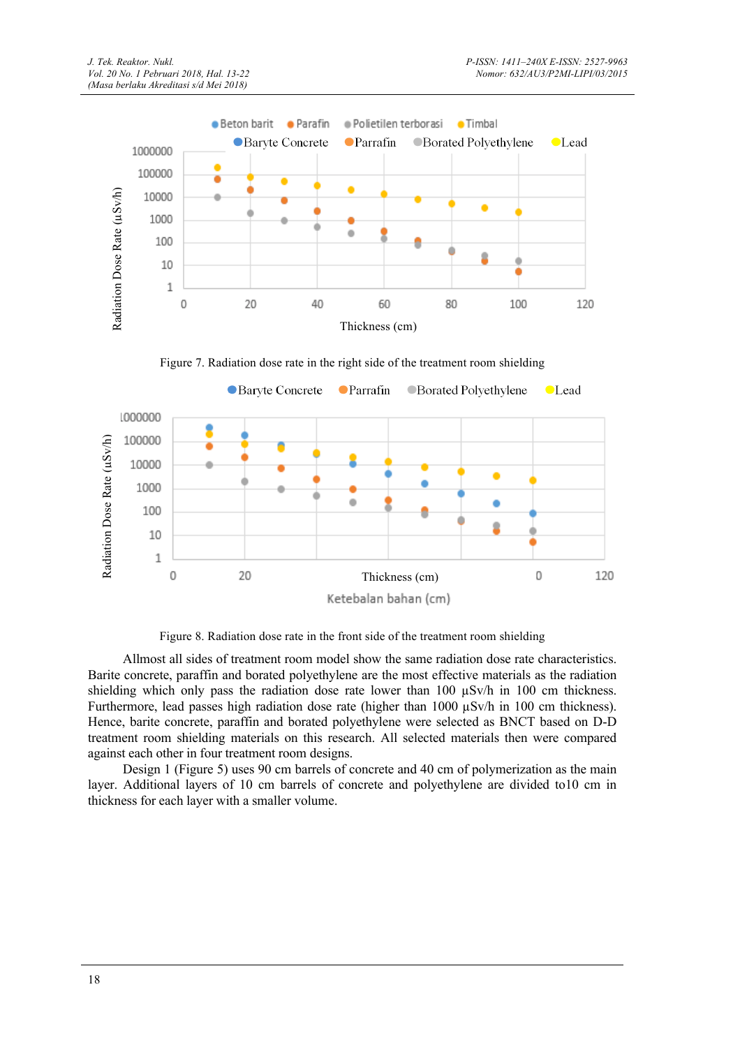

Figure 7. Radiation dose rate in the right side of the treatment room shielding



Figure 8. Radiation dose rate in the front side of the treatment room shielding

Allmost all sides of treatment room model show the same radiation dose rate characteristics. Barite concrete, paraffin and borated polyethylene are the most effective materials as the radiation shielding which only pass the radiation dose rate lower than  $100 \text{ uSv/h}$  in  $100 \text{ cm}$  thickness. Furthermore, lead passes high radiation dose rate (higher than 1000  $\mu$ Sv/h in 100 cm thickness). Hence, barite concrete, paraffin and borated polyethylene were selected as BNCT based on D-D treatment room shielding materials on this research. All selected materials then were compared against each other in four treatment room designs.

Design 1 (Figure 5) uses 90 cm barrels of concrete and 40 cm of polymerization as the main layer. Additional layers of 10 cm barrels of concrete and polyethylene are divided to10 cm in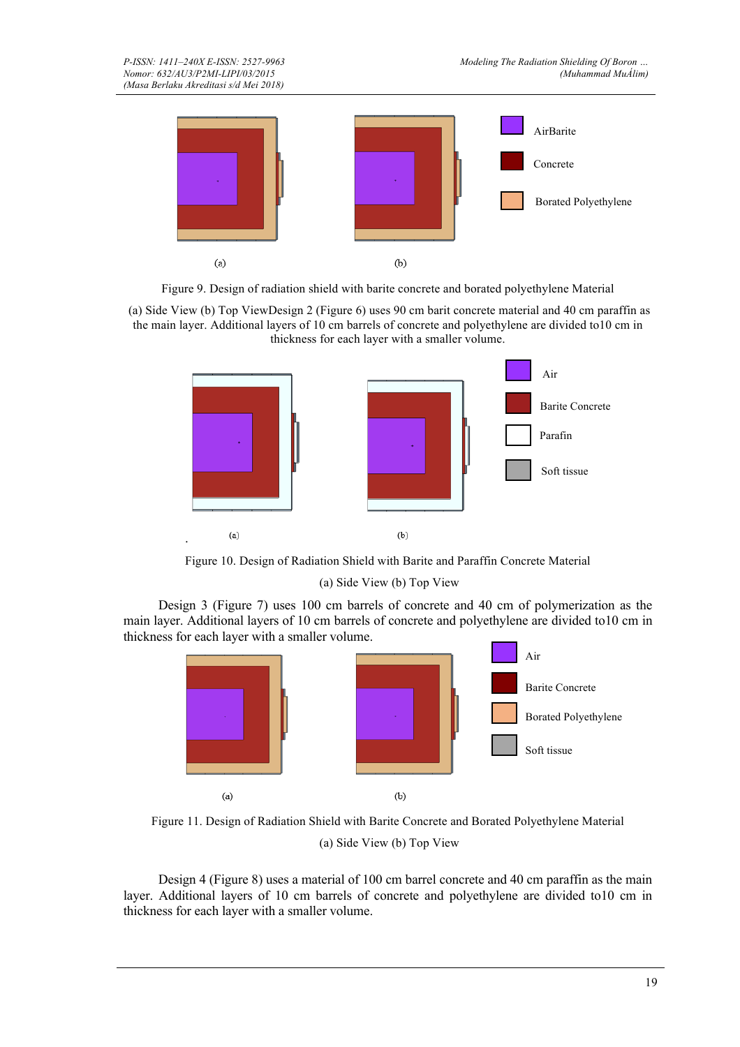

Figure 9. Design of radiation shield with barite concrete and borated polyethylene Material

(a) Side View (b) Top ViewDesign 2 (Figure 6) uses 90 cm barit concrete material and 40 cm paraffin as the main layer. Additional layers of 10 cm barrels of concrete and polyethylene are divided to10 cm in thickness for each layer with a smaller volume.



Figure 10. Design of Radiation Shield with Barite and Paraffin Concrete Material

(a) Side View (b) Top View

Design 3 (Figure 7) uses 100 cm barrels of concrete and 40 cm of polymerization as the main layer. Additional layers of 10 cm barrels of concrete and polyethylene are divided to10 cm in thickness for each layer with a smaller volume.



Figure 11. Design of Radiation Shield with Barite Concrete and Borated Polyethylene Material (a) Side View (b) Top View

Design 4 (Figure 8) uses a material of 100 cm barrel concrete and 40 cm paraffin as the main layer. Additional layers of 10 cm barrels of concrete and polyethylene are divided to10 cm in thickness for each layer with a smaller volume.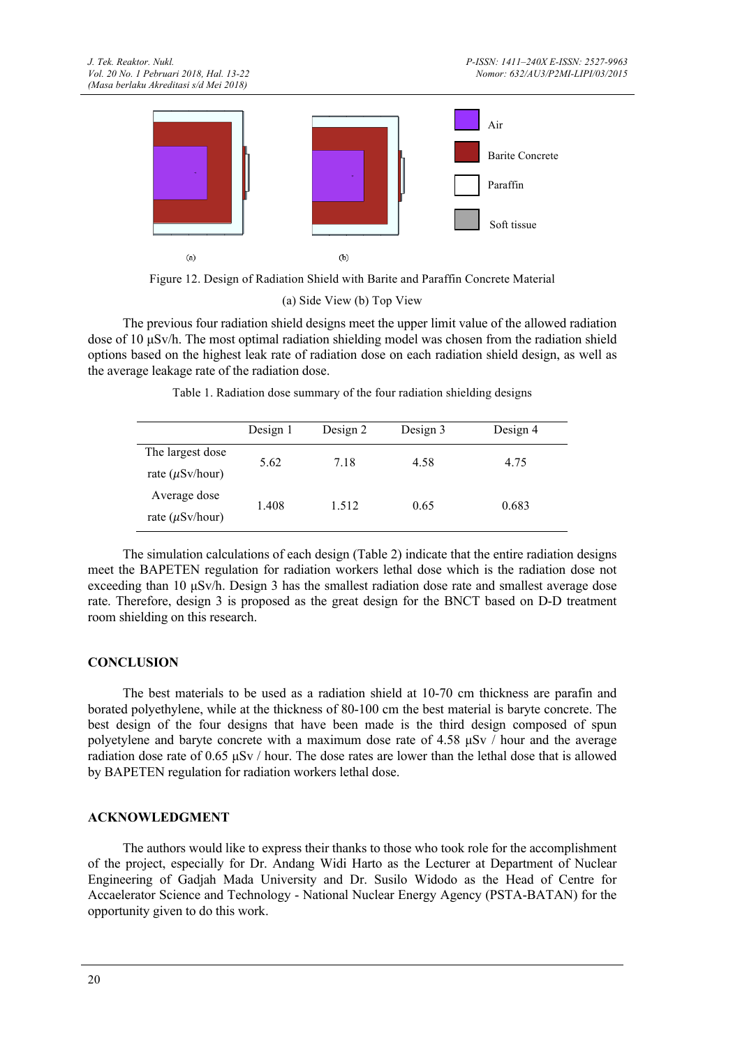

Figure 12. Design of Radiation Shield with Barite and Paraffin Concrete Material

(a) Side View (b) Top View

The previous four radiation shield designs meet the upper limit value of the allowed radiation dose of 10 µSv/h. The most optimal radiation shielding model was chosen from the radiation shield options based on the highest leak rate of radiation dose on each radiation shield design, as well as the average leakage rate of the radiation dose.

|  | Table 1. Radiation dose summary of the four radiation shielding designs |  |  |  |
|--|-------------------------------------------------------------------------|--|--|--|
|  |                                                                         |  |  |  |
|  |                                                                         |  |  |  |

|                      | Design 1 | Design 2 | Design 3 | Design 4 |  |
|----------------------|----------|----------|----------|----------|--|
| The largest dose     | 5.62     | 7.18     | 4.58     | 4.75     |  |
| rate $(\mu Sv/hour)$ |          |          |          |          |  |
| Average dose         | 1.408    | 1.512    | 0.65     | 0.683    |  |
| rate $(\mu Sv/hour)$ |          |          |          |          |  |

The simulation calculations of each design (Table 2) indicate that the entire radiation designs meet the BAPETEN regulation for radiation workers lethal dose which is the radiation dose not exceeding than 10 µSv/h. Design 3 has the smallest radiation dose rate and smallest average dose rate. Therefore, design 3 is proposed as the great design for the BNCT based on D-D treatment room shielding on this research.

# **CONCLUSION**

The best materials to be used as a radiation shield at 10-70 cm thickness are parafin and borated polyethylene, while at the thickness of 80-100 cm the best material is baryte concrete. The best design of the four designs that have been made is the third design composed of spun polyetylene and baryte concrete with a maximum dose rate of 4.58 µSv / hour and the average radiation dose rate of 0.65 µSv / hour. The dose rates are lower than the lethal dose that is allowed by BAPETEN regulation for radiation workers lethal dose.

## **ACKNOWLEDGMENT**

The authors would like to express their thanks to those who took role for the accomplishment of the project, especially for Dr. Andang Widi Harto as the Lecturer at Department of Nuclear Engineering of Gadjah Mada University and Dr. Susilo Widodo as the Head of Centre for Accaelerator Science and Technology - National Nuclear Energy Agency (PSTA-BATAN) for the opportunity given to do this work.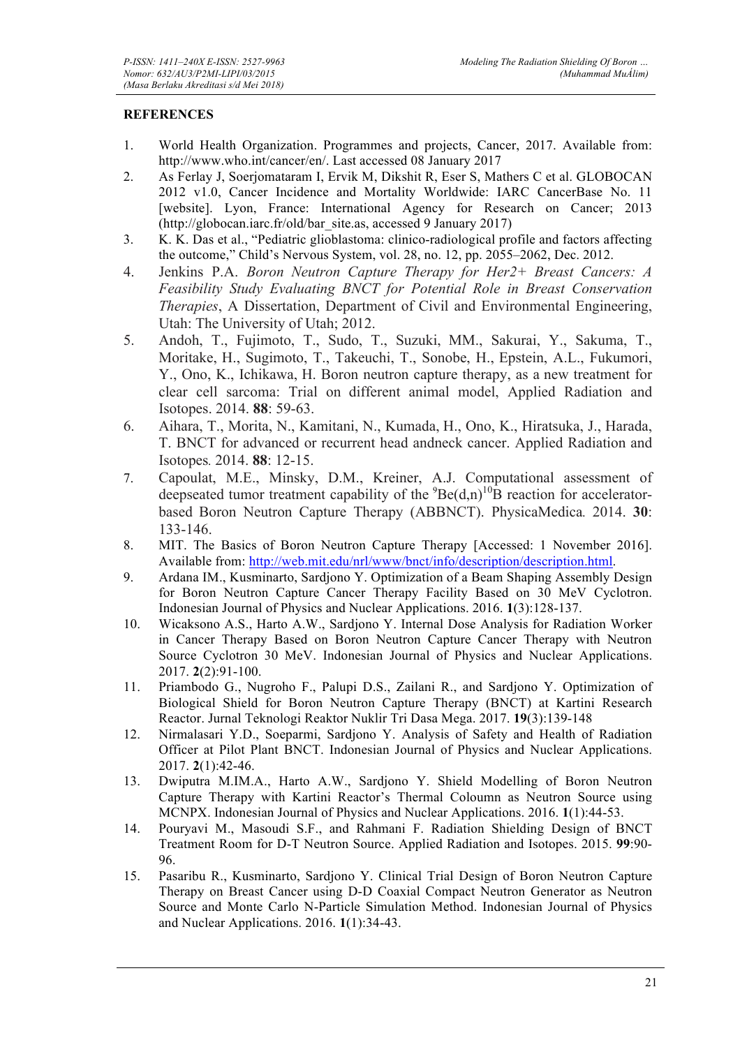## **REFERENCES**

- 1. World Health Organization. Programmes and projects, Cancer, 2017. Available from: http://www.who.int/cancer/en/. Last accessed 08 January 2017
- 2. As Ferlay J, Soerjomataram I, Ervik M, Dikshit R, Eser S, Mathers C et al. GLOBOCAN 2012 v1.0, Cancer Incidence and Mortality Worldwide: IARC CancerBase No. 11 [website]. Lyon, France: International Agency for Research on Cancer; 2013 (http://globocan.iarc.fr/old/bar\_site.as, accessed 9 January 2017)
- 3. K. K. Das et al., "Pediatric glioblastoma: clinico-radiological profile and factors affecting the outcome," Child's Nervous System, vol. 28, no. 12, pp. 2055–2062, Dec. 2012.
- 4. Jenkins P.A. *Boron Neutron Capture Therapy for Her2+ Breast Cancers: A Feasibility Study Evaluating BNCT for Potential Role in Breast Conservation Therapies*, A Dissertation, Department of Civil and Environmental Engineering, Utah: The University of Utah; 2012.
- 5. Andoh, T., Fujimoto, T., Sudo, T., Suzuki, MM., Sakurai, Y., Sakuma, T., Moritake, H., Sugimoto, T., Takeuchi, T., Sonobe, H., Epstein, A.L., Fukumori, Y., Ono, K., Ichikawa, H. Boron neutron capture therapy, as a new treatment for clear cell sarcoma: Trial on different animal model, Applied Radiation and Isotopes. 2014. **88**: 59-63.
- 6. Aihara, T., Morita, N., Kamitani, N., Kumada, H., Ono, K., Hiratsuka, J., Harada, T. BNCT for advanced or recurrent head andneck cancer. Applied Radiation and Isotopes*.* 2014. **88**: 12-15.
- 7. Capoulat, M.E., Minsky, D.M., Kreiner, A.J. Computational assessment of deepseated tumor treatment capability of the  ${}^{9}Be(d,n)$ <sup>10</sup>B reaction for acceleratorbased Boron Neutron Capture Therapy (ABBNCT). PhysicaMedica*.* 2014. **30**: 133-146.
- 8. MIT. The Basics of Boron Neutron Capture Therapy [Accessed: 1 November 2016]. Available from: http://web.mit.edu/nrl/www/bnct/info/description/description.html.
- 9. Ardana IM., Kusminarto, Sardjono Y. Optimization of a Beam Shaping Assembly Design for Boron Neutron Capture Cancer Therapy Facility Based on 30 MeV Cyclotron. Indonesian Journal of Physics and Nuclear Applications. 2016. **1**(3):128-137.
- 10. Wicaksono A.S., Harto A.W., Sardjono Y. Internal Dose Analysis for Radiation Worker in Cancer Therapy Based on Boron Neutron Capture Cancer Therapy with Neutron Source Cyclotron 30 MeV. Indonesian Journal of Physics and Nuclear Applications. 2017. **2**(2):91-100.
- 11. Priambodo G., Nugroho F., Palupi D.S., Zailani R., and Sardjono Y. Optimization of Biological Shield for Boron Neutron Capture Therapy (BNCT) at Kartini Research Reactor. Jurnal Teknologi Reaktor Nuklir Tri Dasa Mega. 2017. **19**(3):139-148
- 12. Nirmalasari Y.D., Soeparmi, Sardjono Y. Analysis of Safety and Health of Radiation Officer at Pilot Plant BNCT. Indonesian Journal of Physics and Nuclear Applications. 2017. **2**(1):42-46.
- 13. Dwiputra M.IM.A., Harto A.W., Sardjono Y. Shield Modelling of Boron Neutron Capture Therapy with Kartini Reactor's Thermal Coloumn as Neutron Source using MCNPX. Indonesian Journal of Physics and Nuclear Applications. 2016. **1**(1):44-53.
- 14. Pouryavi M., Masoudi S.F., and Rahmani F. Radiation Shielding Design of BNCT Treatment Room for D-T Neutron Source. Applied Radiation and Isotopes. 2015. **99**:90- 96.
- 15. Pasaribu R., Kusminarto, Sardjono Y. Clinical Trial Design of Boron Neutron Capture Therapy on Breast Cancer using D-D Coaxial Compact Neutron Generator as Neutron Source and Monte Carlo N-Particle Simulation Method. Indonesian Journal of Physics and Nuclear Applications. 2016. **1**(1):34-43.